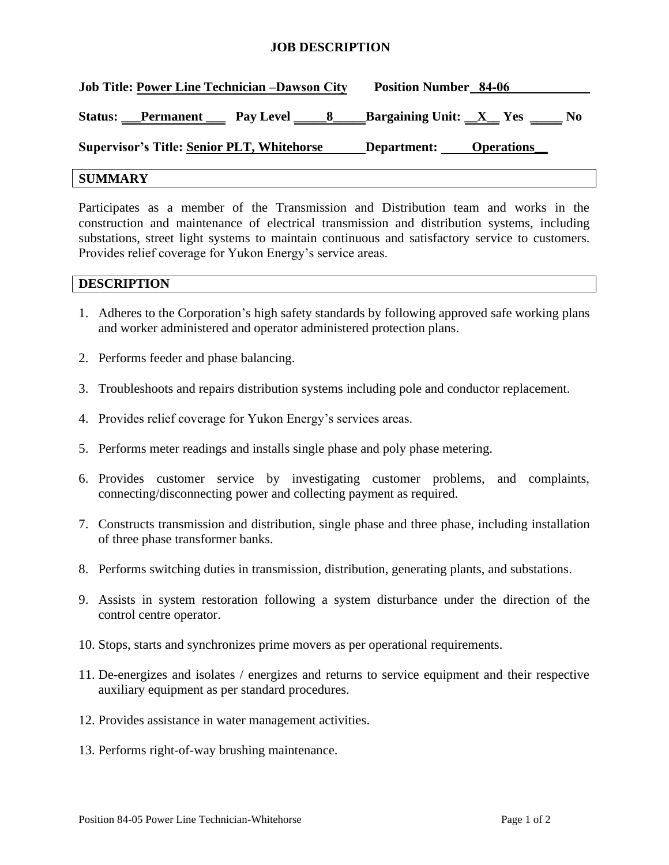#### **JOB DESCRIPTION**

| Job Title: Power Line Technician -Dawson City                                         | <b>Position Number</b> 84-06 |
|---------------------------------------------------------------------------------------|------------------------------|
| Status: <u>Permanent</u> Pay Level <u>8</u> Bargaining Unit: <u>X</u> Yes <u>I</u> No |                              |
| <b>Supervisor's Title: Senior PLT, Whitehorse</b>                                     | Department: Operations       |
| <b>SUMMARY</b>                                                                        |                              |

Participates as a member of the Transmission and Distribution team and works in the construction and maintenance of electrical transmission and distribution systems, including substations, street light systems to maintain continuous and satisfactory service to customers. Provides relief coverage for Yukon Energy's service areas.

#### **DESCRIPTION**

- 1. Adheres to the Corporation's high safety standards by following approved safe working plans and worker administered and operator administered protection plans.
- 2. Performs feeder and phase balancing.
- 3. Troubleshoots and repairs distribution systems including pole and conductor replacement.
- 4. Provides relief coverage for Yukon Energy's services areas.
- 5. Performs meter readings and installs single phase and poly phase metering.
- 6. Provides customer service by investigating customer problems, and complaints, connecting/disconnecting power and collecting payment as required.
- 7. Constructs transmission and distribution, single phase and three phase, including installation of three phase transformer banks.
- 8. Performs switching duties in transmission, distribution, generating plants, and substations.
- 9. Assists in system restoration following a system disturbance under the direction of the control centre operator.
- 10. Stops, starts and synchronizes prime movers as per operational requirements.
- 11. De-energizes and isolates / energizes and returns to service equipment and their respective auxiliary equipment as per standard procedures.
- 12. Provides assistance in water management activities.
- 13. Performs right-of-way brushing maintenance.